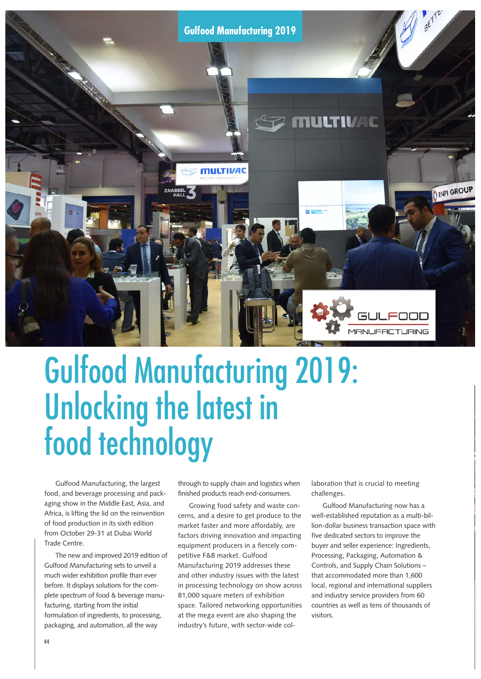

# Gulfood Manufacturing 2019: Unlocking the latest in food technology

Gulfood Manufacturing, the largest food, and beverage processing and packaging show in the Middle East, Asia, and Africa, is lifting the lid on the reinvention of food production in its sixth edition from October 29-31 at Dubai World Trade Centre.

The new and improved 2019 edition of Gulfood Manufacturing sets to unveil a much wider exhibition profile than ever before. It displays solutions for the complete spectrum of food & beverage manufacturing, starting from the initial formulation of ingredients, to processing, packaging, and automation, all the way

through to supply chain and logistics when finished products reach end-consumers.

Growing food safety and waste concerns, and a desire to get produce to the market faster and more affordably, are factors driving innovation and impacting equipment producers in a fiercely competitive F&B market. Gulfood Manufacturing 2019 addresses these and other industry issues with the latest in processing technology on show across 81,000 square meters of exhibition space. Tailored networking opportunities at the mega event are also shaping the industry's future, with sector-wide collaboration that is crucial to meeting challenges.

Gulfood Manufacturing now has a well-established reputation as a multi-billion-dollar business transaction space with five dedicated sectors to improve the buyer and seller experience: Ingredients, Processing, Packaging, Automation & Controls, and Supply Chain Solutions – that accommodated more than 1,600 local, regional and international suppliers and industry service providers from 60 countries as well as tens of thousands of visitors.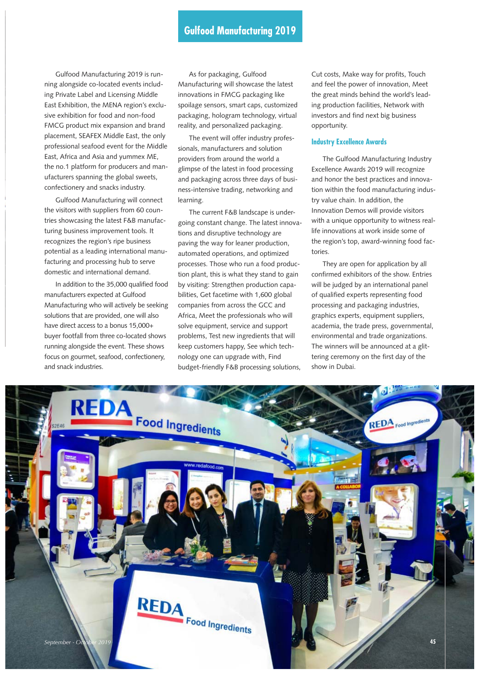Gulfood Manufacturing 2019 is running alongside co-located events including Private Label and Licensing Middle East Exhibition, the MENA region's exclusive exhibition for food and non-food FMCG product mix expansion and brand placement, SEAFEX Middle East, the only professional seafood event for the Middle East, Africa and Asia and yummex ME, the no.1 platform for producers and manufacturers spanning the global sweets, confectionery and snacks industry.

Gulfood Manufacturing will connect the visitors with suppliers from 60 countries showcasing the latest F&B manufacturing business improvement tools. It recognizes the region's ripe business potential as a leading international manufacturing and processing hub to serve domestic and international demand.

In addition to the 35,000 qualified food manufacturers expected at Gulfood Manufacturing who will actively be seeking solutions that are provided, one will also have direct access to a bonus 15,000+ buyer footfall from three co-located shows running alongside the event. These shows focus on gourmet, seafood, confectionery, and snack industries.

As for packaging, Gulfood Manufacturing will showcase the latest innovations in FMCG packaging like spoilage sensors, smart caps, customized packaging, hologram technology, virtual reality, and personalized packaging.

The event will offer industry professionals, manufacturers and solution providers from around the world a glimpse of the latest in food processing and packaging across three days of business-intensive trading, networking and learning.

The current F&B landscape is undergoing constant change. The latest innovations and disruptive technology are paving the way for leaner production, automated operations, and optimized processes. Those who run a food production plant, this is what they stand to gain by visiting: Strengthen production capabilities, Get facetime with 1,600 global companies from across the GCC and Africa, Meet the professionals who will solve equipment, service and support problems, Test new ingredients that will keep customers happy, See which technology one can upgrade with, Find budget-friendly F&B processing solutions,

Cut costs, Make way for profits, Touch and feel the power of innovation, Meet the great minds behind the world's leading production facilities, Network with investors and find next big business opportunity.

# **Industry Excellence Awards**

The Gulfood Manufacturing Industry Excellence Awards 2019 will recognize and honor the best practices and innovation within the food manufacturing industry value chain. In addition, the Innovation Demos will provide visitors with a unique opportunity to witness reallife innovations at work inside some of the region's top, award-winning food factories.

They are open for application by all confirmed exhibitors of the show. Entries will be judged by an international panel of qualified experts representing food processing and packaging industries, graphics experts, equipment suppliers, academia, the trade press, governmental, environmental and trade organizations. The winners will be announced at a glittering ceremony on the first day of the show in Dubai.